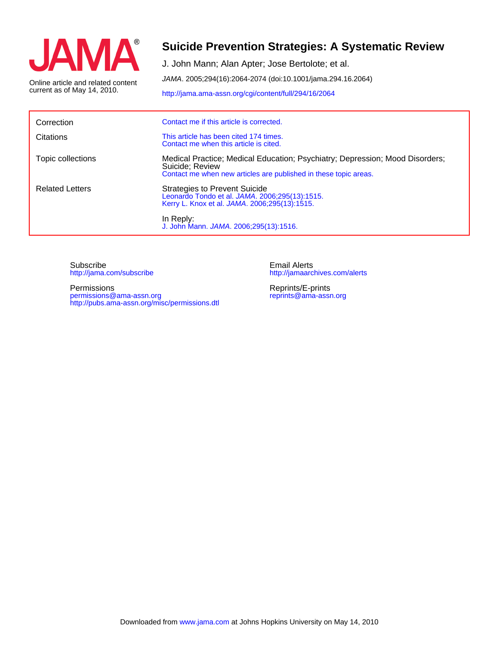

current as of May 14, 2010. Online article and related content

# **Suicide Prevention Strategies: A Systematic Review**

JAMA. 2005;294(16):2064-2074 (doi:10.1001/jama.294.16.2064) J. John Mann; Alan Apter; Jose Bertolote; et al.

<http://jama.ama-assn.org/cgi/content/full/294/16/2064>

| Correction             | Contact me if this article is corrected.                                                                                                                            |  |  |
|------------------------|---------------------------------------------------------------------------------------------------------------------------------------------------------------------|--|--|
| Citations              | This article has been cited 174 times.<br>Contact me when this article is cited.                                                                                    |  |  |
| Topic collections      | Medical Practice; Medical Education; Psychiatry; Depression; Mood Disorders;<br>Suicide; Review<br>Contact me when new articles are published in these topic areas. |  |  |
| <b>Related Letters</b> | <b>Strategies to Prevent Suicide</b><br>Leonardo Tondo et al. JAMA. 2006;295(13):1515.<br>Kerry L. Knox et al. JAMA. 2006;295(13):1515.                             |  |  |
|                        | In Reply:<br>J. John Mann. JAMA. 2006;295(13):1516.                                                                                                                 |  |  |

<http://jama.com/subscribe> Subscribe

<http://pubs.ama-assn.org/misc/permissions.dtl> permissions@ama-assn.org Permissions

<http://jamaarchives.com/alerts> Email Alerts

[reprints@ama-assn.org](mailto:reprints@ama-assn.org) Reprints/E-prints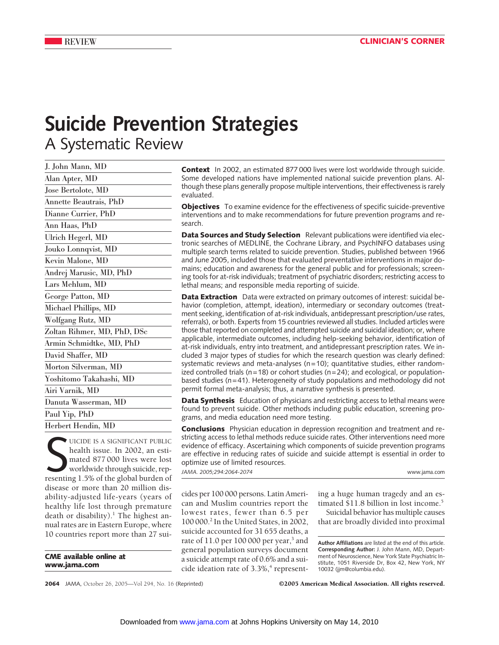# **Suicide Prevention Strategies** A Systematic Review

| J. John Mann, MD            |
|-----------------------------|
| Alan Apter, MD              |
| Jose Bertolote, MD          |
| Annette Beautrais, PhD      |
| Dianne Currier, PhD         |
| Ann Haas, PhD               |
| Ulrich Hegerl, MD           |
| Jouko Lonnqvist, MD         |
| Kevin Malone, MD            |
| Andrej Marusic, MD, PhD     |
| Lars Mehlum, MD             |
| George Patton, MD           |
| Michael Phillips, MD        |
| Wolfgang Rutz, MD           |
| Zoltan Rihmer, MD, PhD, DSc |
| Armin Schmidtke, MD, PhD    |
| David Shaffer, MD           |
| Morton Silverman, MD        |
| Yoshitomo Takahashi, MD     |
| Airi Varnik, MD             |
| Danuta Wasserman, MD        |
| Paul Yip, PhD               |
| Herbert Hendin, MD          |

UICIDE IS A SIGNIFICANT PUBLIC<br>
health issue. In 2002, an esti-<br>
mated 877 000 lives were lost<br>
worldwide through suicide, rep-<br>
resenting 1.5% of the global burden of UICIDE IS A SIGNIFICANT PUBLIC health issue. In 2002, an estimated 877 000 lives were lost worldwide through suicide, repdisease or more than 20 million disability-adjusted life-years (years of healthy life lost through premature death or disability).<sup>1</sup> The highest annual rates are in Eastern Europe, where 10 countries report more than 27 sui-

**CME available online at www.jama.com**

**Context** In 2002, an estimated 877 000 lives were lost worldwide through suicide. Some developed nations have implemented national suicide prevention plans. Although these plans generally propose multiple interventions, their effectiveness is rarely evaluated.

**Objectives** To examine evidence for the effectiveness of specific suicide-preventive interventions and to make recommendations for future prevention programs and research.

**Data Sources and Study Selection** Relevant publications were identified via electronic searches of MEDLINE, the Cochrane Library, and PsychINFO databases using multiple search terms related to suicide prevention. Studies, published between 1966 and June 2005, included those that evaluated preventative interventions in major domains; education and awareness for the general public and for professionals; screening tools for at-risk individuals; treatment of psychiatric disorders; restricting access to lethal means; and responsible media reporting of suicide.

**Data Extraction** Data were extracted on primary outcomes of interest: suicidal behavior (completion, attempt, ideation), intermediary or secondary outcomes (treatment seeking, identification of at-risk individuals, antidepressant prescription/use rates, referrals), or both. Experts from 15 countries reviewed all studies. Included articles were those that reported on completed and attempted suicide and suicidal ideation; or, where applicable, intermediate outcomes, including help-seeking behavior, identification of at-risk individuals, entry into treatment, and antidepressant prescription rates. We included 3 major types of studies for which the research question was clearly defined: systematic reviews and meta-analyses ( $n=10$ ); quantitative studies, either randomized controlled trials ( $n=18$ ) or cohort studies ( $n=24$ ); and ecological, or populationbased studies (n=41). Heterogeneity of study populations and methodology did not permit formal meta-analysis; thus, a narrative synthesis is presented.

**Data Synthesis** Education of physicians and restricting access to lethal means were found to prevent suicide. Other methods including public education, screening programs, and media education need more testing.

**Conclusions** Physician education in depression recognition and treatment and restricting access to lethal methods reduce suicide rates. Other interventions need more evidence of efficacy. Ascertaining which components of suicide prevention programs are effective in reducing rates of suicide and suicide attempt is essential in order to optimize use of limited resources.

*JAMA. 2005;294:2064-2074* www.jama.com

cides per 100 000 persons. Latin American and Muslim countries report the lowest rates, fewer than 6.5 per 100 000.2 In the United States, in 2002, suicide accounted for 31 655 deaths, a rate of  $11.0$  per 100 000 per year,<sup>3</sup> and general population surveys document a suicide attempt rate of 0.6% and a suicide ideation rate of  $3.3\%,$ <sup>4</sup> representing a huge human tragedy and an estimated \$11.8 billion in lost income.<sup>5</sup>

Suicidal behavior has multiple causes that are broadly divided into proximal

**Author Affiliations** are listed at the end of this article. **Corresponding Author:** J. John Mann, MD, Department of Neuroscience, New York State Psychiatric Institute, 1051 Riverside Dr, Box 42, New York, NY 10032 (jjm@columbia.edu).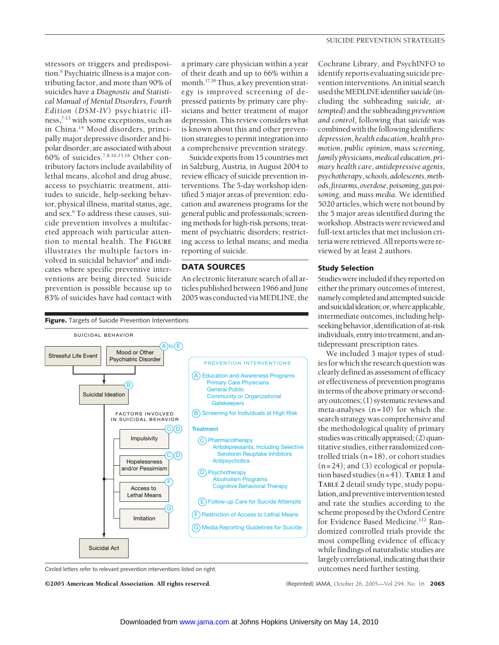stressors or triggers and predisposition.6 Psychiatric illness is a major contributing factor, and more than 90% of suicides have a *Diagnostic and Statistical Manual of Mental Disorders, Fourth Edition* (*DSM-IV*) psychiatric illness,<sup>7-13</sup> with some exceptions, such as in China.14 Mood disorders, principally major depressive disorder and bipolar disorder, are associated with about 60% of suicides.7,8,10,15,16 Other contributory factors include availability of lethal means, alcohol and drug abuse, access to psychiatric treatment, attitudes to suicide, help-seeking behavior, physical illness, marital status, age, and sex.6 To address these causes, suicide prevention involves a multifaceted approach with particular attention to mental health. The **FIGURE** illustrates the multiple factors involved in suicidal behavior<sup>6</sup> and indicates where specific preventive interventions are being directed. Suicide prevention is possible because up to 83% of suicides have had contact with

a primary care physician within a year of their death and up to 66% within a month.17,18 Thus, a key prevention strategy is improved screening of depressed patients by primary care physicians and better treatment of major depression. This review considers what is known about this and other prevention strategies to permit integration into a comprehensive prevention strategy.

Suicide experts from 15 countries met in Salzburg, Austria, in August 2004 to review efficacy of suicide prevention interventions. The 5-day workshop identified 5 major areas of prevention: education and awareness programs for the general public and professionals; screening methods for high-risk persons; treatment of psychiatric disorders; restricting access to lethal means; and media reporting of suicide.

# **DATA SOURCES**

An electronic literature search of all articles published between 1966 and June 2005 was conducted viaMEDLINE, the



Circled letters refer to relevant prevention interventions listed on right.

©2005 American Medical Association. All rights reserved. (Reprinted) JAMA, October 26, 2005—Vol 294, No. 16 **2065**

Cochrane Library, and PsychINFO to identify reports evaluating suicide prevention interventions. An initial search used theMEDLINEidentifier*suicide* (including the subheading *suicide, attempted*) and the subheading *prevention and control*, following that *suicide* was combined with the following identifiers: *depression*, *health education*, *health promotion*, *public opinion*, *mass screening*, *family physicians*,*medical education*, *primary health care*, *antidepressive agents*, *psychotherapy*,*schools*,*adolescents*,*methods*,*firearms*,*overdose*,*poisoning*,*gaspoisoning*, and *mass media*. We identified 5020 articles, which were not bound by the 5 major areas identified during the workshop.Abstracts were reviewed and full-text articles that met inclusion criteria were retrieved. All reports were reviewed by at least 2 authors.

# **Study Selection**

Studies were included if they reported on either the primary outcomes of interest, namelycompletedandattempted suicide andsuicidalideation;or,whereapplicable, intermediate outcomes, including helpseeking behavior, identification of at-risk individuals,entryinto treatment,andantidepressant prescription rates.

We included 3 major types of studies for which the research question was clearly defined as assessment of efficacy or effectiveness of prevention programs in terms of the above primary or secondary outcomes; (1) systematic reviewsand meta-analyses  $(n=10)$  for which the search strategy was comprehensive and the methodological quality of primary studies was critically appraised;  $(2)$  quantitative studies, either randomized controlled trials (n=18), or cohort studies  $(n=24)$ ; and  $(3)$  ecological or population based studies (n=41).**TABLE 1** and **TABLE 2** detail study type, study population, and preventive intervention tested and rate the studies according to the scheme proposed by the Oxford Centre for Evidence Based Medicine.112 Randomized controlled trials provide the most compelling evidence of efficacy while findings of naturalistic studies are largely correlational, indicating that their outcomes need further testing.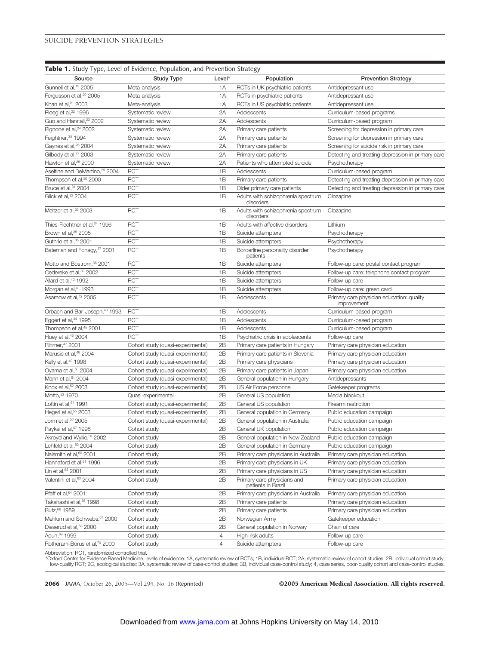|                                               | Table 1. Study Type, Level of Evidence, Population, and Prevention Strategy |                |                                                   |                                                          |
|-----------------------------------------------|-----------------------------------------------------------------------------|----------------|---------------------------------------------------|----------------------------------------------------------|
| Source                                        | <b>Study Type</b>                                                           | Level*         | Population                                        | <b>Prevention Strategy</b>                               |
| Gunnell et al, <sup>19</sup> 2005             | Meta-analysis                                                               | 1A             | RCTs in UK psychiatric patients                   | Antidepressant use                                       |
| Fergusson et al, <sup>20</sup> 2005           | Meta-analysis                                                               | 1A             | RCTs in psychiatric patients                      | Antidepressant use                                       |
| Khan et al, <sup>21</sup> 2003                | Meta-analysis                                                               | 1A             | RCTs in US psychiatric patients                   | Antidepressant use                                       |
| Ploeg et al, <sup>22</sup> 1996               | Systematic review                                                           | 2A             | Adolescents                                       | Curriculum-based programs                                |
| Guo and Harstall, <sup>23</sup> 2002          | Systematic review                                                           | 2A             | Adolescents                                       | Curriculum-based program                                 |
| Pignone et al, <sup>24</sup> 2002             | Systematic review                                                           | 2A             | Primary care patients                             | Screening for depression in primary care                 |
| Feightner, 25 1994                            | Systematic review                                                           | 2A             | Primary care patients                             | Screening for depression in primary care                 |
| Gaynes et al, <sup>26</sup> 2004              | Systematic review                                                           | 2A             | Primary care patients                             | Screening for suicide risk in primary care               |
| Gilbody et al, <sup>27</sup> 2003             | Systematic review                                                           | 2A             | Primary care patients                             | Detecting and treating depression in primary care        |
| Hawton et al, <sup>28</sup> 2000              | Systematic review                                                           | 2A             | Patients who attempted suicide                    | Psychotherapy                                            |
| Aseltine and DeMartino, <sup>29</sup> 2004    | <b>RCT</b>                                                                  | 1B             | Adolescents                                       | Curriculum-based program                                 |
| Thompson et al, <sup>30</sup> 2000            | <b>RCT</b>                                                                  | 1B             | Primary care patients                             | Detecting and treating depression in primary care        |
| Bruce et al, 31 2004                          | <b>RCT</b>                                                                  | 1B             | Older primary care patients                       | Detecting and treating depression in primary care        |
| Glick et al, 32 2004                          | <b>RCT</b>                                                                  | 1B             | Adults with schizophrenia spectrum<br>disorders   | Clozapine                                                |
| Meltzer et al, <sup>33</sup> 2003             | <b>RCT</b>                                                                  | 1B             | Adults with schizophrenia spectrum<br>disorders   | Clozapine                                                |
| Thies-Flechtner et al, <sup>34</sup> 1996     | <b>RCT</b>                                                                  | 1B             | Adults with affective disorders                   | Lithium                                                  |
| Brown et al, 35 2005                          | <b>RCT</b>                                                                  | 1B             | Suicide attempters                                | Psychotherapy                                            |
| Guthrie et al, <sup>36</sup> 2001             | <b>RCT</b>                                                                  | 1B             | Suicide attempters                                | Psychotherapy                                            |
| Bateman and Fonagy, 37 2001                   | <b>RCT</b>                                                                  | 1B             | Borderline personality disorder<br>patients       | Psychotherapy                                            |
| Motto and Bostrom, <sup>38</sup> 2001         | <b>RCT</b>                                                                  | 1B             | Suicide attempters                                | Follow-up care: postal contact program                   |
| Cedereke et al, <sup>39</sup> 2002            | <b>RCT</b>                                                                  | 1B             | Suicide attempters                                | Follow-up care: telephone contact program                |
| Allard et al, <sup>40</sup> 1992              | <b>RCT</b>                                                                  | 1B             | Suicide attempters                                | Follow-up care                                           |
| Morgan et al, <sup>41</sup> 1993              | <b>RCT</b>                                                                  | 1B             | Suicide attempters                                | Follow-up care: green card                               |
| Asarnow et al, <sup>42</sup> 2005             | <b>RCT</b>                                                                  | 1B             | Adolescents                                       | Primary care physician education: quality<br>improvement |
| Orbach and Bar-Joseph, <sup>43</sup> 1993     | <b>RCT</b>                                                                  | 1B             | Adolescents                                       | Curriculum-based program                                 |
| Eggert et al, <sup>44</sup> 1995              | <b>RCT</b>                                                                  | 1B             | Adolescents                                       | Curriculum-based program                                 |
| Thompson et al, <sup>45</sup> 2001            | <b>RCT</b>                                                                  | 1B             | Adolescents                                       | Curriculum-based program                                 |
| Huey et al, 46 2004                           | <b>RCT</b>                                                                  | 1B             | Psychiatric crisis in adolescents                 | Follow-up care                                           |
| Rihmer, 47 2001                               | Cohort study (quasi-experimental)                                           | 2B             | Primary care patients in Hungary                  | Primary care physician education                         |
| Marusic et al, <sup>48</sup> 2004             | Cohort study (quasi-experimental)                                           | 2B             | Primary care patients in Slovenia                 | Primary care physician education                         |
| Kelly et al, <sup>49</sup> 1998               | Cohort study (quasi-experimental)                                           | 2B             | Primary care physicians                           | Primary care physician education                         |
| Oyama et al, <sup>50</sup> 2004               | Cohort study (quasi-experimental)                                           | 2B             | Primary care patients in Japan                    | Primary care physician education                         |
| Mann et al, <sup>51</sup> 2004                | Cohort study (quasi-experimental)                                           | 2B             | General population in Hungary                     | Antidepressants                                          |
| Knox et al, 52 2003                           | Cohort study (quasi-experimental)                                           | 2B             | US Air Force personnel                            | Gatekeeper programs                                      |
| Motto. <sup>53</sup> 1970                     | Quasi-experimental                                                          | 2B             | General US population                             | Media blackout                                           |
| Loftin et al, <sup>54</sup> 1991              | Cohort study (quasi-experimental)                                           | 2B             | General US population                             | Firearm restriction                                      |
| Hegerl et al, <sup>55</sup> 2003              | Cohort study (quasi-experimental)                                           | 2B             | General population in Germany                     | Public education campaign                                |
| Jorm et al, <sup>56</sup> 2005                | Cohort study (quasi-experimental)                                           | 2B             | General population in Australia                   | Public education campaign                                |
| Paykel et al, <sup>57</sup> 1998              | Cohort study                                                                | 2B             | General UK population                             | Public education campaign                                |
| Akroyd and Wyllie, <sup>58</sup> 2002         | Cohort study                                                                | 2B             | General population in New Zealand                 | Public education campaign                                |
| Lehfeld et al, <sup>59</sup> 2004             | Cohort study                                                                | 2B             | General population in Germany                     | Public education campaign                                |
| Naismith et al, <sup>60</sup> 2001            | Cohort study                                                                | 2B             | Primary care physicians in Australia              | Primary care physician education                         |
| Hannaford et al, <sup>61</sup> 1996           | Cohort study                                                                | 2B             | Primary care physicians in UK                     | Primary care physician education                         |
| Lin et al, 62 2001                            | Cohort study                                                                | 2B             | Primary care physicians in US                     | Primary care physician education                         |
| Valentini et al, 63 2004                      | Cohort study                                                                | 2B             | Primary care physicians and<br>patients in Brazil | Primary care physician education                         |
| Pfaff et al, 64 2001                          | Cohort study                                                                | 2Β             | Primary care physicians in Australia              | Primary care physician education                         |
| Takahashi et al, 65 1998                      | Cohort study                                                                | 2B             | Primary care patients                             | Primary care physician education                         |
| Rutz, 66 1989                                 | Cohort study                                                                | 2B             | Primary care patients                             | Primary care physician education                         |
| Mehlum and Schwebs, 67 2000                   | Cohort study                                                                | 2B             | Norwegian Army                                    | Gatekeeper education                                     |
| Dieserud et al, <sup>68</sup> 2000            | Cohort study                                                                | 2B             | General population in Norway                      | Chain of care                                            |
| Aoun, 69 1999                                 | Cohort study                                                                | 4              | High-risk adults                                  | Follow-up care                                           |
| Rotheram-Borus et al, <sup>70</sup> 2000      | Cohort study                                                                | $\overline{4}$ | Suicide attempters                                | Follow-up care                                           |
| Abbreviation: RCT randomized controlled trial |                                                                             |                |                                                   |                                                          |

Abbreviation: RCT, randomized controlled trial.<br>\*Oxford Centre for Evidence Based Medicine, levels of evidence: 1A, systematic review of RCTs; 1B, individual RCT; 2A, systematic review of cohort studies; 2B, individual coh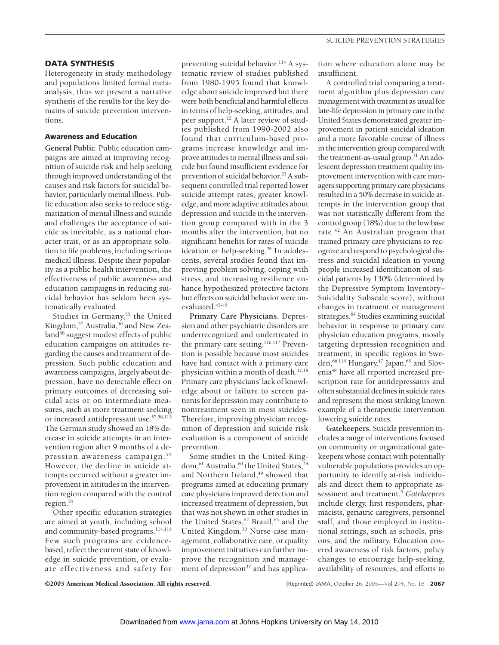### **DATA SYNTHESIS**

Heterogeneity in study methodology and populations limited formal metaanalysis, thus we present a narrative synthesis of the results for the key domains of suicide prevention interventions.

# **Awareness and Education**

**General Public.** Public education campaigns are aimed at improving recognition of suicide risk and help seeking through improved understanding of the causes and risk factors for suicidal behavior, particularly mental illness. Public education also seeks to reduce stigmatization of mental illness and suicide and challenges the acceptance of suicide as inevitable, as a national character trait, or as an appropriate solution to life problems, including serious medical illness. Despite their popularity as a public health intervention, the effectiveness of public awareness and education campaigns in reducing suicidal behavior has seldom been systematically evaluated.

Studies in Germany,<sup>55</sup> the United Kingdom,<sup>57</sup> Australia,<sup>56</sup> and New Zealand<sup>58</sup> suggest modest effects of public education campaigns on attitudes regarding the causes and treatment of depression. Such public education and awareness campaigns, largely about depression, have no detectable effect on primary outcomes of decreasing suicidal acts or on intermediate measures, such as more treatment seeking or increased antidepressant use.57,58,113 The German study showed an 18% decrease in suicide attempts in an intervention region after 9 months of a depression awareness campaign.<sup>59</sup> However, the decline in suicide attempts occurred without a greater improvement in attitudes in the intervention region compared with the control region.55

Other specific education strategies are aimed at youth, including school and community-based programs.<sup>114,115</sup> Few such programs are evidencebased, reflect the current state of knowledge in suicide prevention, or evaluate effectiveness and safety for

preventing suicidal behavior.<sup>114</sup> A systematic review of studies published from 1980-1995 found that knowledge about suicide improved but there were both beneficial and harmful effects in terms of help-seeking, attitudes, and peer support.<sup>22</sup> A later review of studies published from 1990-2002 also found that curriculum-based programs increase knowledge and improve attitudes to mental illness and suicide but found insufficient evidence for prevention of suicidal behavior.<sup>23</sup> A subsequent controlled trial reported lower suicide attempt rates, greater knowledge, and more adaptive attitudes about depression and suicide in the intervention group compared with in the 3 months after the intervention, but no significant benefits for rates of suicide ideation or help-seeking.<sup>29</sup> In adolescents, several studies found that improving problem solving, coping with stress, and increasing resilience enhance hypothesized protective factors but effects on suicidal behavior were unevaluated.<sup>43-45</sup>

**Primary Care Physicians.** Depression and other psychiatric disorders are underrecognized and undertreated in the primary care setting.<sup>116,117</sup> Prevention is possible because most suicides have had contact with a primary care physician within a month of death.<sup>17,18</sup> Primary care physicians' lack of knowledge about or failure to screen patients for depression may contribute to nontreatment seen in most suicides. Therefore, improving physician recognition of depression and suicide risk evaluation is a component of suicide prevention.

Some studies in the United Kingdom,<sup>61</sup> Australia,<sup>60</sup> the United States,<sup>24</sup> and Northern Ireland,<sup>49</sup> showed that programs aimed at educating primary care physicians improved detection and increased treatment of depression, but that was not shown in other studies in the United States,<sup>62</sup> Brazil,<sup>63</sup> and the United Kingdom.30 Nurse case management, collaborative care, or quality improvement initiatives can further improve the recognition and management of depression<sup>27</sup> and has application where education alone may be insufficient.

A controlled trial comparing a treatment algorithm plus depression care management with treatment as usual for late-life depression in primary care in the United States demonstrated greater improvement in patient suicidal ideation and a more favorable course of illness in the intervention group compared with the treatment-as-usual group.<sup>31</sup> An adolescent depression treatment quality improvement intervention with care managers supporting primary care physicians resulted in a 50% decrease in suicide attempts in the intervention group that was not statistically different from the control group (18%) due to the low base rate.<sup>42</sup> An Australian program that trained primary care physicians to recognize and respond to psychological distress and suicidal ideation in young people increased identification of suicidal patients by 130% (determined by the Depressive Symptom Inventory– Suicidality Subscale score), without changes in treatment or management strategies.<sup>64</sup> Studies examining suicidal behavior in response to primary care physician education programs, mostly targeting depression recognition and treatment, in specific regions in Sweden,<sup>66,118</sup> Hungary,<sup>47</sup> Japan,<sup>65</sup> and Slovenia48 have all reported increased prescription rate for antidepressants and often substantial declines in suicide rates and represent the most striking known example of a therapeutic intervention lowering suicide rates.

**Gatekeepers.** Suicide prevention includes a range of interventions focused on community or organizational gatekeepers whose contact with potentially vulnerable populations provides an opportunity to identify at-risk individuals and direct them to appropriate assessment and treatment.5 *Gatekeepers* include clergy, first responders, pharmacists, geriatric caregivers, personnel staff, and those employed in institutional settings, such as schools, prisons, and the military. Education covered awareness of risk factors, policy changes to encourage help-seeking, availability of resources, and efforts to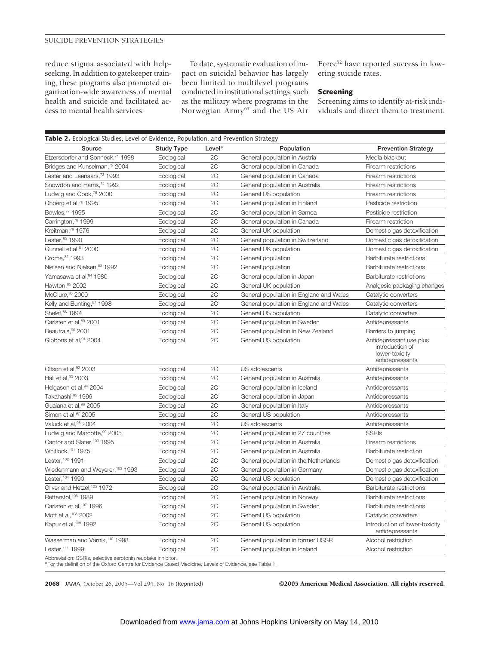reduce stigma associated with helpseeking. In addition to gatekeeper training, these programs also promoted organization-wide awareness of mental health and suicide and facilitated access to mental health services.

To date, systematic evaluation of impact on suicidal behavior has largely been limited to multilevel programs conducted in institutional settings, such as the military where programs in the Norwegian Army67 and the US Air

Force<sup>52</sup> have reported success in lowering suicide rates.

#### **Screening**

Screening aims to identify at-risk individuals and direct them to treatment.

| Table 2. Ecological Studies, Level of Evidence, Population, and Prevention Strategy                                                                                    |                   |        |                                                                            |                                                                                 |  |  |
|------------------------------------------------------------------------------------------------------------------------------------------------------------------------|-------------------|--------|----------------------------------------------------------------------------|---------------------------------------------------------------------------------|--|--|
| Source                                                                                                                                                                 | <b>Study Type</b> | Level* | Population                                                                 | <b>Prevention Strategy</b>                                                      |  |  |
| Etzersdorfer and Sonneck, <sup>71</sup> 1998                                                                                                                           | Ecological        | 2C     | General population in Austria                                              | Media blackout                                                                  |  |  |
| Bridges and Kunselman, <sup>72</sup> 2004                                                                                                                              | Ecological        | 2C     | General population in Canada                                               | Firearm restrictions                                                            |  |  |
| Lester and Leenaars, <sup>73</sup> 1993                                                                                                                                | Ecological        | 2C     | General population in Canada                                               | Firearm restrictions                                                            |  |  |
| Snowdon and Harris, <sup>74</sup> 1992                                                                                                                                 | Ecological        | 2C     | General population in Australia                                            | Firearm restrictions                                                            |  |  |
| Ludwig and Cook, <sup>75</sup> 2000                                                                                                                                    | Ecological        | 2C     | General US population                                                      | Firearm restrictions                                                            |  |  |
| Ohberg et al, <sup>76</sup> 1995                                                                                                                                       | Ecological        | 2C     | General population in Finland                                              | Pesticide restriction                                                           |  |  |
| Bowles, <sup>77</sup> 1995                                                                                                                                             | Ecological        | 2C     | General population in Samoa                                                | Pesticide restriction                                                           |  |  |
| Carrington, <sup>78</sup> 1999                                                                                                                                         | Ecological        | 2C     | General population in Canada                                               | Firearm restriction                                                             |  |  |
| Kreitman, <sup>79</sup> 1976                                                                                                                                           | Ecological        | 2C     | General UK population                                                      | Domestic gas detoxification                                                     |  |  |
| Lester, 80 1990                                                                                                                                                        | Ecological        | 2C     | General population in Switzerland                                          | Domestic gas detoxification                                                     |  |  |
| Gunnell et al, <sup>81</sup> 2000                                                                                                                                      | Ecological        | 2C     | General UK population                                                      | Domestic gas detoxification                                                     |  |  |
| Crome, 82 1993                                                                                                                                                         | Ecological        | 2C     | General population                                                         | Barbiturate restrictions                                                        |  |  |
| Nielsen and Nielsen, 83 1992                                                                                                                                           | Ecological        | 2C     | General population                                                         | Barbiturate restrictions                                                        |  |  |
| Yamasawa et al, <sup>84</sup> 1980                                                                                                                                     | Ecological        | 2C     | General population in Japan                                                | Barbiturate restrictions                                                        |  |  |
| Hawton, 85 2002                                                                                                                                                        | Ecological        | 2C     | General UK population                                                      | Analgesic packaging changes                                                     |  |  |
| McClure, 86 2000                                                                                                                                                       | Ecological        | 2C     | General population in England and Wales                                    | Catalytic converters                                                            |  |  |
| Kelly and Bunting, 87 1998                                                                                                                                             | Ecological        | 2C     | General population in England and Wales                                    | Catalytic converters                                                            |  |  |
| Shelef, 88 1994                                                                                                                                                        | Ecological        | 2C     | General US population                                                      | Catalytic converters                                                            |  |  |
| Carlsten et al, 89 2001                                                                                                                                                | Ecological        | 2C     | General population in Sweden                                               | Antidepressants                                                                 |  |  |
| Beautrais,90 2001                                                                                                                                                      | Ecological        | 2C     | General population in New Zealand                                          | Barriers to jumping                                                             |  |  |
| Gibbons et al, <sup>91</sup> 2004                                                                                                                                      | Ecological        | 2C     | General US population                                                      | Antidepressant use plus<br>introduction of<br>lower-toxicity<br>antidepressants |  |  |
| Olfson et al, 92 2003                                                                                                                                                  | Ecological        | 2C     | US adolescents                                                             | Antidepressants                                                                 |  |  |
| Hall et al, 93 2003                                                                                                                                                    | Ecological        | 2C     | General population in Australia                                            | Antidepressants                                                                 |  |  |
| Helgason et al, 94 2004                                                                                                                                                | Ecological        | 2C     | General population in Iceland                                              | Antidepressants                                                                 |  |  |
| Takahashi, 95 1999                                                                                                                                                     | Ecological        | 2C     | General population in Japan                                                | Antidepressants                                                                 |  |  |
| Guaiana et al, 96 2005                                                                                                                                                 | Ecological        | 2C     | General population in Italy                                                | Antidepressants                                                                 |  |  |
| Simon et al, 97 2005                                                                                                                                                   | Ecological        | 2C     | General US population                                                      | Antidepressants                                                                 |  |  |
| Valuck et al, 98 2004                                                                                                                                                  | Ecological        | 2C     | US adolescents                                                             | Antidepressants                                                                 |  |  |
| Ludwig and Marcotte, 99 2005                                                                                                                                           | Ecological        | 2C     | General population in 27 countries                                         | <b>SSRIs</b>                                                                    |  |  |
| Cantor and Slater, 100 1995                                                                                                                                            | Ecological        | 2C     | General population in Australia                                            | Firearm restrictions                                                            |  |  |
| Whitlock, 101 1975                                                                                                                                                     | Ecological        | 2C     | General population in Australia                                            | Barbiturate restriction                                                         |  |  |
| Lester, 102 1991                                                                                                                                                       | Ecological        | 2C     | General population in the Netherlands                                      | Domestic gas detoxification                                                     |  |  |
| Wiedenmann and Weyerer, 103 1993                                                                                                                                       | Ecological        | 2C     | General population in Germany                                              | Domestic gas detoxification                                                     |  |  |
| Lester, 104 1990                                                                                                                                                       | Ecological        | 2C     | General US population                                                      | Domestic gas detoxification                                                     |  |  |
| Oliver and Hetzel, 105 1972                                                                                                                                            | Ecological        | 2C     | General population in Australia                                            | Barbiturate restrictions                                                        |  |  |
| Retterstol, 106 1989                                                                                                                                                   | Ecological        | 2C     | General population in Norway                                               | Barbiturate restrictions                                                        |  |  |
| Carlsten et al, <sup>107</sup> 1996                                                                                                                                    | Ecological        | 2C     | General population in Sweden                                               | Barbiturate restrictions                                                        |  |  |
| Mott et al, 108 2002                                                                                                                                                   | Ecological        | 2C     | General US population                                                      | Catalytic converters                                                            |  |  |
| Kapur et al, <sup>109</sup> 1992                                                                                                                                       | Ecological        | 2C     | General US population<br>Introduction of lower-toxicity<br>antidepressants |                                                                                 |  |  |
| Wasserman and Varnik, <sup>110</sup> 1998                                                                                                                              | Ecological        | 2C     | General population in former USSR                                          | Alcohol restriction                                                             |  |  |
| Lester, 111 1999                                                                                                                                                       | Ecological        | 2C     | General population in Iceland                                              | Alcohol restriction                                                             |  |  |
| Abbreviation: SSRIs, selective serotonin reuptake inhibitor.<br>*For the definition of the Oxford Centre for Evidence Based Medicine. Levels of Evidence, see Table 1. |                   |        |                                                                            |                                                                                 |  |  |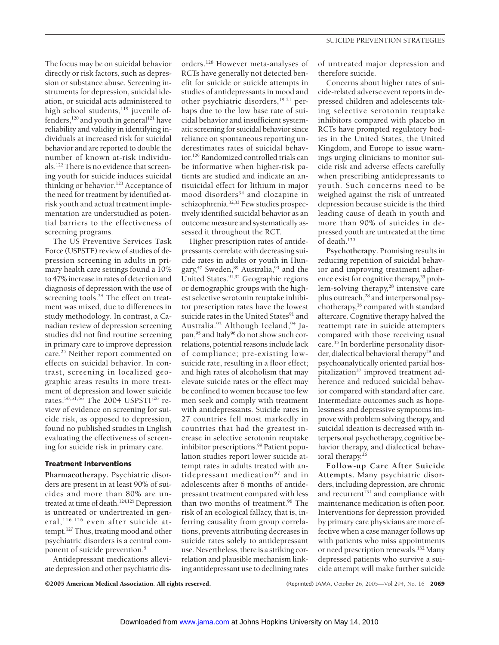The focus may be on suicidal behavior directly or risk factors, such as depression or substance abuse. Screening instruments for depression, suicidal ideation, or suicidal acts administered to high school students,<sup>119</sup> juvenile offenders,<sup>120</sup> and youth in general<sup>121</sup> have reliability and validity in identifying individuals at increased risk for suicidal behavior and are reported to double the number of known at-risk individuals.122 There is no evidence that screening youth for suicide induces suicidal thinking or behavior.<sup>123</sup> Acceptance of the need for treatment by identified atrisk youth and actual treatment implementation are understudied as potential barriers to the effectiveness of screening programs.

The US Preventive Services Task Force (USPSTF) review of studies of depression screening in adults in primary health care settings found a 10% to 47% increase in rates of detection and diagnosis of depression with the use of screening tools.<sup>24</sup> The effect on treatment was mixed, due to differences in study methodology. In contrast, a Canadian review of depression screening studies did not find routine screening in primary care to improve depression care.<sup>25</sup> Neither report commented on effects on suicidal behavior. In contrast, screening in localized geographic areas results in more treatment of depression and lower suicide rates.50,51,66 The 2004 USPSTF26 review of evidence on screening for suicide risk, as opposed to depression, found no published studies in English evaluating the effectiveness of screening for suicide risk in primary care.

#### **Treatment Interventions**

**Pharmacotherapy.** Psychiatric disorders are present in at least 90% of suicides and more than 80% are untreated at time of death.124,125 Depression is untreated or undertreated in general, 116,126 even after suicide attempt.127 Thus, treating mood and other psychiatric disorders is a central component of suicide prevention.5

Antidepressant medications alleviate depression and other psychiatric disorders.128 However meta-analyses of RCTs have generally not detected benefit for suicide or suicide attempts in studies of antidepressants in mood and other psychiatric disorders,19-21 perhaps due to the low base rate of suicidal behavior and insufficient systematic screening for suicidal behavior since reliance on spontaneous reporting underestimates rates of suicidal behavior.129 Randomized controlled trials can be informative when higher-risk patients are studied and indicate an antisuicidal effect for lithium in major mood disorders<sup>34</sup> and clozapine in schizophrenia.32,33 Few studies prospectively identified suicidal behavior as an outcome measure and systematically assessed it throughout the RCT.

Higher prescription rates of antidepressants correlate with decreasing suicide rates in adults or youth in Hungary,<sup>47</sup> Sweden,<sup>89</sup> Australia,<sup>93</sup> and the United States.<sup>91,92</sup> Geographic regions or demographic groups with the highest selective serotonin reuptake inhibitor prescription rates have the lowest suicide rates in the United States<sup>91</sup> and Australia. $93$  Although Iceland,  $94$  Japan,<sup>95</sup> and Italy<sup>96</sup> do not show such correlations, potential reasons include lack of compliance; pre-existing lowsuicide rate, resulting in a floor effect; and high rates of alcoholism that may elevate suicide rates or the effect may be confined to women because too few men seek and comply with treatment with antidepressants. Suicide rates in 27 countries fell most markedly in countries that had the greatest increase in selective serotonin reuptake inhibitor prescriptions.<sup>99</sup> Patient population studies report lower suicide attempt rates in adults treated with antidepressant medication<sup>97</sup> and in adolescents after 6 months of antidepressant treatment compared with less than two months of treatment.<sup>98</sup> The risk of an ecological fallacy, that is, inferring causality from group correlations, prevents attributing decreases in suicide rates solely to antidepressant use. Nevertheless, there is a striking correlation and plausible mechanism linking antidepressant use to declining rates

of untreated major depression and therefore suicide.

Concerns about higher rates of suicide-related adverse event reports in depressed children and adolescents taking selective serotonin reuptake inhibitors compared with placebo in RCTs have prompted regulatory bodies in the United States, the United Kingdom, and Europe to issue warnings urging clinicians to monitor suicide risk and adverse effects carefully when prescribing antidepressants to youth. Such concerns need to be weighed against the risk of untreated depression because suicide is the third leading cause of death in youth and more than 90% of suicides in depressed youth are untreated at the time of death.<sup>130</sup>

**Psychotherapy.** Promising results in reducing repetition of suicidal behavior and improving treatment adherence exist for cognitive therapy,<sup>35</sup> problem-solving therapy,<sup>28</sup> intensive care plus outreach,<sup>28</sup> and interpersonal psychotherapy,36 compared with standard aftercare. Cognitive therapy halved the reattempt rate in suicide attempters compared with those receiving usual care.35 In borderline personality disorder, dialectical behavioral therapy<sup>28</sup> and psychoanalytically oriented partial hospitalization<sup>37</sup> improved treatment adherence and reduced suicidal behavior compared with standard after care. Intermediate outcomes such as hopelessness and depressive symptoms improve with problem solving therapy, and suicidal ideation is decreased with interpersonal psychotherapy, cognitive behavior therapy, and dialectical behavioral therapy.<sup>26</sup>

**Follow-up Care After Suicide Attempts.** Many psychiatric disorders, including depression, are chronic and recurrent $131$  and compliance with maintenance medication is often poor. Interventions for depression provided by primary care physicians are more effective when a case manager follows up with patients who miss appointments or need prescription renewals.132 Many depressed patients who survive a suicide attempt will make further suicide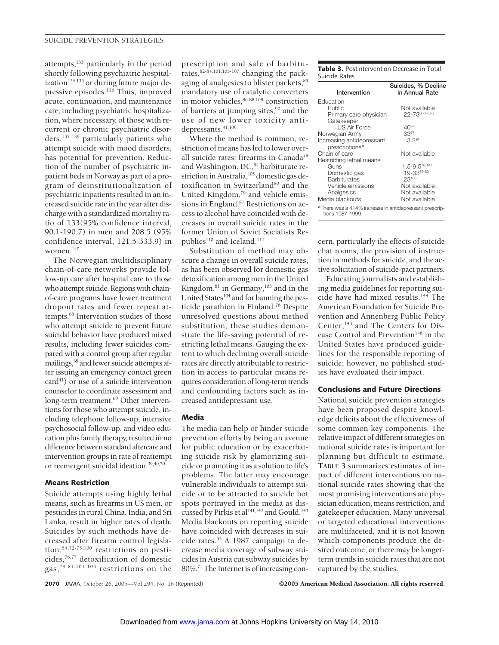attempts,<sup>133</sup> particularly in the period shortly following psychiatric hospitalization<sup>134,135</sup> or during future major depressive episodes.<sup>136</sup> Thus, improved acute, continuation, and maintenance care, including psychiatric hospitalization, where necessary, of those with recurrent or chronic psychiatric disorders,137-139 particularly patients who attempt suicide with mood disorders, has potential for prevention. Reduction of the number of psychiatric inpatient beds in Norway as part of a program of deinstitutionalization of psychiatric inpatients resulted in an increased suicide rate in the year after discharge with a standardized mortality ratio of 133(95% confidence interval, 90.1-190.7) in men and 208.5 (95% confidence interval, 121.5-333.9) in women.140

The Norwegian multidisciplinary chain-of-care networks provide follow-up care after hospital care to those who attempt suicide. Regions with chainof-care programs have lower treatment dropout rates and fewer repeat attempts.68 Intervention studies of those who attempt suicide to prevent future suicidal behavior have produced mixed results, including fewer suicides compared with a control group after regular mailings,<sup>38</sup> and fewer suicide attempts after issuing an emergency contact green card<sup>41</sup>) or use of a suicide intervention counselor to coordinate assessment and long-term treatment.<sup>69</sup> Other interventions for those who attempt suicide, including telephone follow-up, intensive psychosocial follow-up, and video education plus family therapy, resulted in no difference between standard aftercare and intervention groups in rate of reattempt or reemergent suicidal ideation.39,40,70

#### **Means Restriction**

Suicide attempts using highly lethal means, such as firearms in US men, or pesticides in rural China, India, and Sri Lanka, result in higher rates of death. Suicides by such methods have decreased after firearm control legislation,54,72-75,100 restrictions on pesticides, $76,77$  detoxification of domestic gas,79-81,101-103 restrictions on the

prescription and sale of barbiturates,  $82-84,101,105-107$  changing the packaging of analgesics to blister packets, 85 mandatory use of catalytic converters in motor vehicles,  $86-88,108$  construction of barriers at jumping sites,<sup>90</sup> and the use of new lower toxicity antidepressants.<sup>91,109</sup>

Where the method is common, restriction of means has led to lower overall suicide rates: firearms in Canada78 and Washington, DC,<sup>54</sup> barbiturate restriction in Australia,<sup>105</sup> domestic gas detoxification in Switzerland<sup>80</sup> and the United Kingdom,<sup>79</sup> and vehicle emissions in England.<sup>87</sup> Restrictions on access to alcohol have coincided with decreases in overall suicide rates in the former Union of Soviet Socialists Republics<sup>110</sup> and Iceland.<sup>111</sup>

Substitution of method may obscure a change in overall suicide rates, as has been observed for domestic gas detoxification among men in the United Kingdom,<sup>81</sup> in Germany,<sup>103</sup> and in the United States<sup>104</sup> and for banning the pesticide parathion in Finland.76 Despite unresolved questions about method substitution, these studies demonstrate the life-saving potential of restricting lethal means. Gauging the extent to which declining overall suicide rates are directly attributable to restriction in access to particular means requires consideration of long-term trends and confounding factors such as increased antidepressant use.

# **Media**

The media can help or hinder suicide prevention efforts by being an avenue for public education or by exacerbating suicide risk by glamorizing suicide or promoting it as a solution to life's problems. The latter may encourage vulnerable individuals to attempt suicide or to be attracted to suicide hot spots portrayed in the media as discussed by Pirkis et al<sup>141,142</sup> and Gould.<sup>143</sup> Media blackouts on reporting suicide have coincided with decreases in suicide rates.<sup>53</sup> A 1987 campaign to decrease media coverage of subway suicides in Austria cut subway suicides by 80%.71 The Internet is of increasing con**Table 3.** Postintervention Decrease in Total Suicide Rates

| Intervention                                                               | Suicides, % Decline<br>in Annual Rate |  |  |  |
|----------------------------------------------------------------------------|---------------------------------------|--|--|--|
| Education                                                                  |                                       |  |  |  |
| Public                                                                     | Not available                         |  |  |  |
| Primary care physician                                                     | 22-7366,47,65                         |  |  |  |
| Gatekeeper                                                                 |                                       |  |  |  |
| <b>US Air Force</b>                                                        | $40^{52}$                             |  |  |  |
| Norwegian Army                                                             | $33^{67}$                             |  |  |  |
| Increasing antidepressant                                                  | 3.291                                 |  |  |  |
| prescriptions*                                                             |                                       |  |  |  |
| Chain of care                                                              | Not available                         |  |  |  |
| Restricting lethal means                                                   |                                       |  |  |  |
| Guns                                                                       | $1.5 - 9.5^{78,147}$                  |  |  |  |
| Domestic gas                                                               | 19-3379,80                            |  |  |  |
| Barbiturates                                                               | 23105                                 |  |  |  |
| Vehicle emissions                                                          | Not available                         |  |  |  |
| Analgesics                                                                 | Not available                         |  |  |  |
| Media blackouts                                                            | Not available                         |  |  |  |
| *There was a 414% increase in antidepressant prescrip-<br>tions 1987-1999. |                                       |  |  |  |

cern, particularly the effects of suicide chat rooms, the provision of instruction in methods for suicide, and the active solicitation of suicide-pact partners.

Educating journalists and establishing media guidelines for reporting suicide have had mixed results.144 The American Foundation for Suicide Prevention and Annenberg Public Policy Center,<sup>145</sup> and The Centers for Disease Control and Prevention<sup>146</sup> in the United States have produced guidelines for the responsible reporting of suicide; however, no published studies have evaluated their impact.

# **Conclusions and Future Directions**

National suicide prevention strategies have been proposed despite knowledge deficits about the effectiveness of some common key components. The relative impact of different strategies on national suicide rates is important for planning but difficult to estimate. **TABLE 3** summarizes estimates of impact of different interventions on national suicide rates showing that the most promising interventions are physician education, means restriction, and gatekeeper education. Many universal or targeted educational interventions are multifaceted, and it is not known which components produce the desired outcome, or there may be longerterm trends in suicide rates that are not captured by the studies.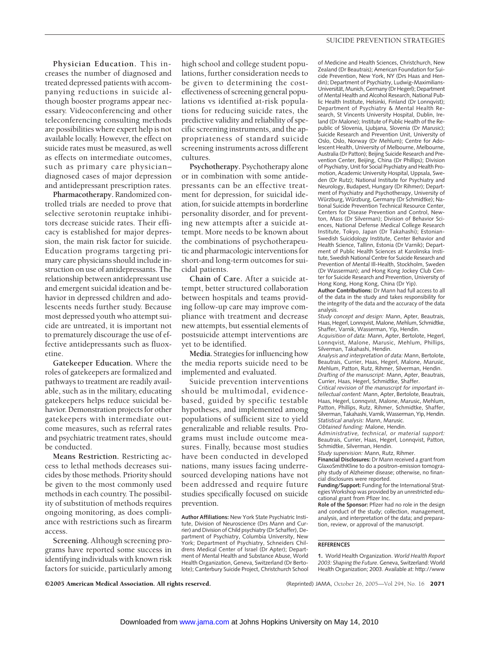**Physician Education.** This increases the number of diagnosed and treated depressed patients with accompanying reductions in suicide although booster programs appear necessary. Videoconferencing and other teleconferencing consulting methods are possibilities where expert help is not available locally. However, the effect on suicide rates must be measured, as well as effects on intermediate outcomes, such as primary care physician– diagnosed cases of major depression and antidepressant prescription rates.

**Pharmacotherapy.** Randomized controlled trials are needed to prove that selective serotonin reuptake inhibitors decrease suicide rates. Their efficacy is established for major depression, the main risk factor for suicide. Education programs targeting primary care physicians should include instruction on use of antidepressants. The relationship between antidepressant use and emergent suicidal ideation and behavior in depressed children and adolescents needs further study. Because most depressed youth who attempt suicide are untreated, it is important not to prematurely discourage the use of effective antidepressants such as fluoxetine.

**Gatekeeper Education.** Where the roles of gatekeepers are formalized and pathways to treatment are readily available, such as in the military, educating gatekeepers helps reduce suicidal behavior. Demonstration projects for other gatekeepers with intermediate outcome measures, such as referral rates and psychiatric treatment rates, should be conducted.

**Means Restriction.** Restricting access to lethal methods decreases suicides by those methods. Priority should be given to the most commonly used methods in each country. The possibility of substitution of methods requires ongoing monitoring, as does compliance with restrictions such as firearm access.

**Screening.** Although screening programs have reported some success in identifying individuals with known risk factors for suicide, particularly among high school and college student populations, further consideration needs to be given to determining the costeffectiveness of screening general populations vs identified at-risk populations for reducing suicide rates, the predictive validity and reliability of specific screening instruments, and the appropriateness of standard suicide screening instruments across different cultures.

**Psychotherapy.** Psychotherapy alone or in combination with some antidepressants can be an effective treatment for depression, for suicidal ideation, for suicide attempts in borderline personality disorder, and for preventing new attempts after a suicide attempt. More needs to be known about the combinations of psychotherapeutic and pharmacologic interventions for short-and long-term outcomes for suicidal patients.

**Chain of Care.** After a suicide attempt, better structured collaboration between hospitals and teams providing follow-up care may improve compliance with treatment and decrease new attempts, but essential elements of postsuicide attempt interventions are yet to be identified.

**Media.** Strategies for influencing how the media reports suicide need to be implemented and evaluated.

Suicide prevention interventions should be multimodal, evidencebased, guided by specific testable hypotheses, and implemented among populations of sufficient size to yield generalizable and reliable results. Programs must include outcome measures. Finally, because most studies have been conducted in developed nations, many issues facing underresourced developing nations have not been addressed and require future studies specifically focused on suicide prevention.

**Author Affiliations:** New York State Psychiatric Institute, Division of Neuroscience (Drs Mann and Currier) and Division of Child psychiatry (Dr Schaffer), Department of Psychiatry, Columbia University, New York; Department of Psychiatry, Schneiders Childrens Medical Center of Israel (Dr Apter); Department of Mental Health and Substance Abuse, World Health Organization, Geneva, Switzerland (Dr Bertolote); Canterbury Suicide Project, Christchurch School

of Medicine and Health Sciences, Christchurch, New Zealand (Dr Beautrais); American Foundation for Suicide Prevention, New York, NY (Drs Haas and Hendin); Department of Psychiatry, Ludwig-Maximilians-Universität, Munich, Germany (Dr Hegerl); Department of Mental Health and Alcohol Research, National Public Health Institute, Helsinki, Finland (Dr Lonnqvist); Department of Psychiatry & Mental Health Research, St Vincents University Hospital, Dublin, Ireland (Dr Malone); Institute of Public Health of the Republic of Slovenia, Ljubjana, Slovenia (Dr Marusic); Suicide Research and Prevention Unit, University of Oslo, Oslo, Norway (Dr Mehlum); Centre for Adolescent Health, University of Melbourne, Melbourne, Australia (Dr Patton); Beijing Suicide Research and Prevention Center, Beijing, China (Dr Phillips); Division of Psychiatry, Unit for Social Psychiatry and Health Promotion, Academic University Hospital, Uppsala, Sweden (Dr Rutz); National Institute for Psychiatry and Neurology, Budapest, Hungary (Dr Rihmer); Department of Psychiatry and Psychotherapy, University of Würzburg, Würzburg, Germany (Dr Schmidtke); National Suicide Prevention Technical Resource Center, Centers for Disease Prevention and Control, Newton, Mass (Dr Silverman); Division of Behavior Sciences, National Defense Medical College Research Institute, Tokyo, Japan (Dr Takahashi); Estonian-Swedish Suicidology Institute, Center Behavior and Health Science, Tallinn, Estonia (Dr Varnik); Department of Public Health Sciences at Karolinska Institute, Swedish National Centre for Suicide Research and Prevention of Mental Ill-Health, Stockholm, Sweden (Dr Wasserman); and Hong Kong Jockey Club Center for Suicide Research and Prevention, University of Hong Kong, Hong Kong, China (Dr Yip).

**Author Contributions:** Dr Mann had full access to all of the data in the study and takes responsibility for the integrity of the data and the accuracy of the data analysis.

*Study concept and design:* Mann, Apter, Beautrais, Haas, Hegerl, Lonnqvist, Malone, Mehlum, Schmidtke, Shaffer, Varnik, Wasserman, Yip, Hendin.

*Acquisition of data:* Mann, Apter, Bertolote, Hegerl, Lonnqvist, Malone, Marusic, Mehlum, Phillips, Silverman, Takahashi, Hendin.

*Analysis and interpretation of data:* Mann, Bertolote, Beautrais, Currier, Haas, Hegerl, Malone, Marusic, Mehlum, Patton, Rutz, Rihmer, Silverman, Hendin. *Drafting of the manuscript:* Mann, Apter, Beautrais, Currier, Haas, Hegerl, Schmidtke, Shaffer.

*Critical revision of the manuscript for important intellectual content:* Mann, Apter, Bertolote, Beautrais, Haas, Hegerl, Lonnqvist, Malone, Marusic, Mehlum, Patton, Phillips, Rutz, Rihmer, Schmidtke, Shaffer, Silverman, Takahashi, Varnik, Wasserman, Yip, Hendin. *Statistical analysis:* Mann, Marusic.

*Obtained funding:* Malone, Hendin.

*Administrative, technical, or material support:* Beautrais, Currier, Haas, Hegerl, Lonnqvist, Patton, Schmidtke, Silverman, Hendin.

*Study supervision:* Mann, Rutz, Rihmer.

**Financial Disclosures:** Dr Mann received a grant from GlaxoSmithKline to do a positron-emission tomography study of Alzheimer disease; otherwise, no financial disclosures were reported.

**Funding/Support:** Funding for the International Strategies Workshop was provided by an unrestricted educational grant from Pfizer Inc.

**Role of the Sponsor:** Pfizer had no role in the design and conduct of the study; collection, management, analysis, and interpretation of the data; and preparation, review, or approval of the manuscript.

#### **REFERENCES**

**<sup>1.</sup>** World Health Organization. *World Health Report 2003: Shaping the Future*. Geneva, Switzerland: World Health Organization; 2003. Available at: http://www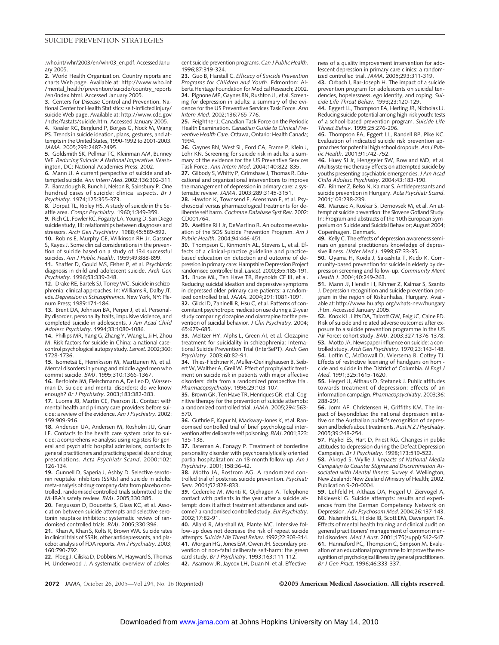.who.int/whr/2003/en/whr03\_en.pdf. Accessed January 2005.

**2.** World Health Organization. Country reports and charts Web page. Available at: http://www.who.int /mental\_health/prevention/suicide/country\_reports /en/index.html. Accessed January 2005.

**3.** Centers for Disease Control and Prevention. National Center for Health Statistics: self-inflicted injury/ suicide Web page. Available at: http://www.cdc.gov /nchs/fastats/suicide.htm. Accessed January 2005.

**4.** Kessler RC, Berglund P, Borges G, Nock M, Wang PS. Trends in suicide ideation, plans, gestures, and attempts in the United States, 1990-1992 to 2001-2003. *JAMA*. 2005;293:2487-2495.

**5.** Goldsmith SK, Pellmar TC, Kleinman AM, Bunney WE. *Reducing Suicide: A National Imperative*. Washington, DC: National Academies Press; 2002.

**6.** Mann JJ. A current perspective of suicide and attempted suicide. *Ann Intern Med*. 2002;136:302-311. **7.** Barraclough B, Bunch J, Nelson B, Sainsbury P. One hundred cases of suicide: clinical aspects. *Br J Psychiatry*. 1974;125:355-373.

**8.** Dorpat TL, Ripley HS. A study of suicide in the Seattle area. *Compr Psychiatry*. 1960;1:349-359.

**9.** Rich CL, Fowler RC, Fogarty LA, Young D. San Diego suicide study, III: relationships between diagnoses and stressors. *Arch Gen Psychiatry*. 1988;45:589-592. **10.** Robins E, Murphy GE, Wilkinson RH Jr, Gassner

S, Kayes J. Some clinical considerations in the prevention of suicide based on a study of 134 successful suicides. *Am J Public Health*. 1959;49:888-899.

**11.** Shaffer D, Gould MS, Fisher P, et al. Psychiatric diagnosis in child and adolescent suicide. *Arch Gen Psychiatry*. 1996;53:339-348.

**12.** Drake RE, Bartels SJ, Torrey WC. Suicide in schizophrenia: clinical approaches. In: Williams R, Dalby JT, eds. *Depression in Schizophrenics*. New York, NY: Plenum Press; 1989:171-186.

**13.** Brent DA, Johnson BA, Perper J, et al. Personality disorder, personality traits, impulsive violence, and completed suicide in adolescents. *J Am Acad Child Adolesc Psychiatry*. 1994;33:1080-1086.

**14.** Phillips MR, Yang G, Zhang Y, Wang L, Ji H, Zhou M. Risk factors for suicide in China: a national casecontrol psychological autopsy study. *Lancet*. 2002;360: 1728-1736.

**15.** Isometsä E, Henriksson M, Marttunen M, et al. Mental disorders in young and middle aged men who commit suicide. *BMJ*. 1995;310:1366-1367.

**16.** Bertolote JM, Fleischmann A, De Leo D, Wasserman D. Suicide and mental disorders: do we know enough? *Br J Psychiatry*. 2003;183:382-383.

**17.** Luoma JB, Martin CE, Pearson JL. Contact with mental health and primary care providers before suicide: a review of the evidence. *Am J Psychiatry*. 2002; 159:909-916.

**18.** Andersen UA, Andersen M, Rosholm JU, Gram LF. Contacts to the health care system prior to suicide: a comprehensive analysis using registers for general and psychiatric hospital admissions, contacts to general practitioners and practicing specialists and drug prescriptions. *Acta Psychiatr Scand*. 2000;102: 126-134.

**19.** Gunnell D, Saperia J, Ashby D. Selective serotonin reuptake inhibitors (SSRIs) and suicide in adults: meta-analysis of drug company data from placebo controlled, randomised controlled trials submitted to the MHRA's safety review. *BMJ*. 2005;330:385.

**20.** Fergusson D, Doucette S, Glass KC, et al. Association between suicide attempts and selective serotonin reuptake inhibitors: systematic review of randomised controlled trials. *BMJ*. 2005;330:396.

**21.** Khan A, Khan S, Kolts R, Brown WA. Suicide rates in clinical trials of SSRIs, other antidepressants, and placebo: analysis of FDA reports. *Am J Psychiatry*. 2003; 160:790-792.

**22.** Ploeg J, Ciliska D, Dobbins M, Hayward S, Thomas H, Underwood J. A systematic overview of adolescent suicide prevention programs. *Can J Public Health*. 1996;87:319-324.

**23.** Guo B, Harstall C. *Efficacy of Suicide Prevention Programs for Children and Youth*. Edmonton: Alberta Heritage Foundation for Medical Research; 2002. **24.** Pignone MP, Gaynes BN, Rushton JL, et al. Screening for depression in adults: a summary of the evidence for the US Preventive Services Task Force. *Ann Intern Med*. 2002;136:765-776.

**25.** Feightner J; Canadian Task Force on the Periodic Health Examination. *Canadian Guide to Clinical Preventive Health Care*. Ottawa, Ontario: Health Canada; 1994.

**26.** Gaynes BN, West SL, Ford CA, Frame P, Klein J, Lohr KN. Screening for suicide risk in adults: a summary of the evidence for the US Preventive Services Task Force. *Ann Intern Med*. 2004;140:822-835.

**27.** Gilbody S, Whitty P, Grimshaw J, Thomas R. Educational and organizational interventions to improve the management of depression in primary care: a systematic review. *JAMA*. 2003;289:3145-3151.

**28.** Hawton K, Townsend E, Arensman E, et al. Psychosocial versus pharmacological treatments for deliberate self harm. *Cochrane Database Syst Rev*. 2002: CD001764.

**29.** Aseltine RH Jr, DeMartino R. An outcome evaluation of the SOS Suicide Prevention Program. *Am J Public Health*. 2004;94:446-451.

**30.** Thompson C, Kinmonth AL, Stevens L, et al. Effects of a clinical-practice guideline and practicebased education on detection and outcome of depression in primary care: Hampshire Depression Project randomised controlled trial. *Lancet*. 2000;355:185-191. **31.** Bruce ML, Ten Have TR, Reynolds CF III, et al. Reducing suicidal ideation and depressive symptoms in depressed older primary care patients: a randomized controlled trial. *JAMA*. 2004;291:1081-1091.

**32.** Glick ID, Zaninelli R, Hsu C, et al. Patterns of concomitant psychotropic medication use during a 2-year study comparing clozapine and olanzapine for the prevention of suicidal behavior. *J Clin Psychiatry*. 2004; 65:679-685.

**33.** Meltzer HY, Alphs L, Green AI, et al. Clozapine treatment for suicidality in schizophrenia: International Suicide Prevention Trial (InterSePT). *Arch Gen Psychiatry*. 2003;60:82-91.

**34.** Thies-Flechtner K, Muller-Oerlinghausen B, Seibert W, Walther A, Greil W. Effect of prophylactic treatment on suicide risk in patients with major affective disorders: data from a randomized prospective trial. *Pharmacopsychiatry*. 1996;29:103-107.

**35.** Brown GK, Ten Have TR, Henriques GR, et al. Cognitive therapy for the prevention of suicide attempts: a randomized controlled trial. *JAMA*. 2005;294:563- 570.

**36.** Guthrie E, Kapur N, Mackway-Jones K, et al. Randomised controlled trial of brief psychological intervention after deliberate self poisoning. *BMJ*. 2001;323: 135-138.

**37.** Bateman A, Fonagy P. Treatment of borderline personality disorder with psychoanalytically oriented partial hospitalization: an 18-month follow-up. *Am J Psychiatry*. 2001;158:36-42.

**38.** Motto JA, Bostrom AG. A randomized controlled trial of postcrisis suicide prevention. *Psychiatr Serv*. 2001;52:828-833.

**39.** Cedereke M, Monti K, Ojehagen A. Telephone contact with patients in the year after a suicide attempt: does it affect treatment attendance and outcome? a randomised controlled study. *Eur Psychiatry*. 2002;17:82-91.

**40.** Allard R, Marshall M, Plante MC. Intensive follow-up does not decrease the risk of repeat suicide attempts. *Suicide Life Threat Behav*. 1992;22:303-314. **41.** Morgan HG, Jones EM, Owen JH. Secondary prevention of non-fatal deliberate self-harm: the green card study. *Br J Psychiatry*. 1993;163:111-112. **42.** Asarnow JR, Jaycox LH, Duan N, et al. Effectiveness of a quality improvement intervention for adolescent depression in primary care clinics: a randomized controlled trial. *JAMA*. 2005;293:311-319.

**43.** Orbach I, Bar-Joseph H. The impact of a suicide prevention program for adolescents on suicidal tendencies, hopelessness, ego identity, and coping. *Suicide Life Threat Behav*. 1993;23:120-129.

**44.** Eggert LL, Thompson EA, Herting JR, Nicholas LJ. Reducing suicide potential among high-risk youth: tests of a school-based prevention program. *Suicide Life Threat Behav*. 1995;25:276-296.

**45.** Thompson EA, Eggert LL, Randell BP, Pike KC. Evaluation of indicated suicide risk prevention approaches for potential high school dropouts. *Am J Public Health*. 2001;91:742-752.

**46.** Huey SJ Jr, Henggeler SW, Rowland MD, et al. Multisystemic therapy effects on attempted suicide by youths presenting psychiatric emergencies.*J Am Acad Child Adolesc Psychiatry*. 2004;43:183-190.

**47.** Rihmer Z, Belso N, Kalmar S. Antidepressants and suicide prevention in Hungary. *Acta Psychiatr Scand*. 2001;103:238-239.

**48.** Marusic A, Roskar S, Dernovsek M, et al. An attempt of suicide prevention: the Slovene Gotland Study. In: Program and abstracts of the 10th European Symposium on Suicide and Suicidal Behavior; August 2004; Copenhagen, Denmark.

**49.** Kelly C. The effects of depression awareness seminars on general practitioners knowledge of depressive illness. *Ulster Med J*. 1998;67:33-35.

**50.** Oyama H, Koida J, Sakashita T, Kudo K. Community-based prevention for suicide in elderly by depression screening and follow-up. *Community Ment Health J*. 2004;40:249-263.

**51.** Mann JJ, Hendin H, Rihmer Z, Kalmar S, Szanto J. Depression recognition and suicide prevention program in the region of Kiskunhalas, Hungary. Available at: http://www.hu.afsp.org/whats-new/hungary

.htm. Accessed January 2005. **52.** Knox KL, Litts DA, Talcott GW, Feig JC, Caine ED. Risk of suicide and related adverse outcomes after exposure to a suicide prevention programme in the US Air Force: cohort study. *BMJ*. 2003;327:1376-1378. **53.** Motto JA. Newspaper influence on suicide: a controlled study. *Arch Gen Psychiatry*. 1970;23:143-148. **54.** Loftin C, McDowall D, Wiersema B, Cottey TJ. Effects of restrictive licensing of handguns on homicide and suicide in the District of Columbia. *N Engl J Med*. 1991;325:1615-1620.

**55.** Hegerl U, Althaus D, Stefanek J. Public attitudes towards treatment of depression: effects of an information campaign. *Pharmacopsychiatry*. 2003;36: 288-291.

**56.** Jorm AF, Christensen H, Griffiths KM. The impact of beyondblue: the national depression initiative on the Australian public's recognition of depression and beliefs about treatments.*Aust N Z J Psychiatry*. 2005;39:248-254.

**57.** Paykel ES, Hart D, Priest RG. Changes in public attitudes to depression during the Defeat Depression Campaign. *Br J Psychiatry*. 1998;173:519-522.

**58.** Akroyd S, Wyllie J. *Impacts of National Media Campaign to Counter Stigma and Discrimination Associated with Mental Illness: Survey 4*. Wellington, New Zealand: New Zealand Ministry of Health; 2002. Publication 9-20-0004.

**59.** Lehfeld H, Althaus DA, Hegerl U, Ziervogel A, Niklewski G. Suicide attempts: results and experiences from the German Competency Network on Depression. *Adv Psychosom Med*. 2004;26:137-143. **60.** Naismith SL, Hickie IB, Scott EM, Davenport TA. Effects of mental health training and clinical audit on general practitioners' management of common mental disorders. *Med J Aust*. 2001;175(suppl):S42-S47. **61.** Hannaford PC, Thompson C, Simpson M. Evaluation of an educational programme to improve the recognition of psychological illness by general practitioners. *Br J Gen Pract*. 1996;46:333-337.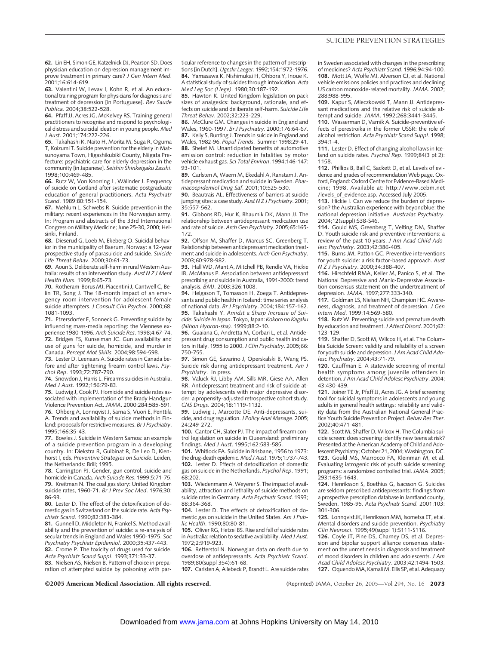**62.** Lin EH, Simon GE, Katzelnick DJ, Pearson SD. Does physician education on depression management improve treatment in primary care? *J Gen Intern Med*. 2001;16:614-619.

**63.** Valentini W, Levav I, Kohn R, et al. An educational training program for physicians for diagnosis and treatment of depression [in Portuguese]. *Rev Saude Publica*. 2004;38:522-528.

**64.** Pfaff JJ, Acres JG, McKelvey RS. Training general practitioners to recognise and respond to psychological distress and suicidal ideation in young people. *Med J Aust*. 2001;174:222-226.

**65.** Takahashi K, Naito H, Morita M, Suga R, Oguma T, Koizumi T. Suicide prevention for the elderly in Matsunoyama Town, Higashikubiki County, Niigata Prefecture: psychiatric care for elderly depression in the community [in Japanese]. *Seishin Shinkeigaku Zasshi*. 1998;100:469-485.

**66.** Rutz W, Von Knorring L, Wálinder J. Frequency of suicide on Gotland after systematic postgraduate education of general practitioners. *Acta Psychiatr Scand*. 1989;80:151-154.

**67.** Mehlum L, Schwebs R. Suicide prevention in the military: recent experiences in the Norwegian army. In: Program and abstracts of the 33rd International Congress on Military Medicine; June 25-30, 2000; Helsinki, Finland.

**68.** Dieserud G, Loeb M, Ekeberg O. Suicidal behavior in the municipality of Baerum, Norway: a 12-year prospective study of parasuicide and suicide. *Suicide Life Threat Behav*. 2000;30:61-73.

**69.** Aoun S. Deliberate self-harm in rural Western Australia: results of an intervention study. *Aust N Z J Ment Health Nurs*. 1999;8:65-73.

**70.** Rotheram-Borus MJ, Piacentini J, Cantwell C, Belin TR, Song J. The 18-month impact of an emergency room intervention for adolescent female suicide attempters. *J Consult Clin Psychol*. 2000;68: 1081-1093.

**71.** Etzersdorfer E, Sonneck G. Preventing suicide by influencing mass-media reporting: the Viennese experience 1980-1996. *Arch Suicide Res*. 1998;4:67-74. **72.** Bridges FS, Kunselman JC. Gun availability and use of guns for suicide, homicide, and murder in Canada. *Percept Mot Skills*. 2004;98:594-598.

**73.** Lester D, Leenaars A. Suicide rates in Canada before and after tightening firearm control laws. *Psychol Rep*. 1993;72:787-790.

**74.** Snowdon J, Harris L. Firearms suicides in Australia. *Med J Aust*. 1992;156:79-83.

**75.** Ludwig J, Cook PJ. Homicide and suicide rates associated with implementation of the Brady Handgun Violence Prevention Act. *JAMA*. 2000;284:585-591. **76.** Ohberg A, Lonnqvist J, Sarna S, Vuori E, Penttila A. Trends and availability of suicide methods in Finland: proposals for restrictive measures. *Br J Psychiatry*. 1995;166:35-43.

**77.** Bowles J. Suicide in Western Samoa: an example of a suicide prevention program in a developing country. In: Diekstra R, Gulbinat R, De Leo D, Kienhorst I, eds. *Preventive Strategies on Suicide*. Leiden, the Netherlands: Brill; 1995.

**78.** Carrington PJ. Gender, gun control, suicide and homicide in Canada. *Arch Suicide Res*. 1999;5:71-75. **79.** Kreitman N. The coal gas story: United Kingdom suicide rates, 1960-71. *Br J Prev Soc Med*. 1976;30: 86-93.

**80.** Lester D. The effect of the detoxification of domestic gas in Switzerland on the suicide rate. *Acta Psychiatr Scand*. 1990;82:383-384.

**81.** Gunnell D, Middleton N, Frankel S. Method availability and the prevention of suicide: a re-analysis of secular trends in England and Wales 1950-1975. *Soc Psychiatry Psychiatr Epidemiol*. 2000;35:437-443. **82.** Crome P. The toxicity of drugs used for suicide.

*Acta Psychiatr Scand Suppl*. 1993;371:33-37. **83.** Nielsen AS, Nielsen B. Pattern of choice in prepa-

ration of attempted suicide by poisoning with par-

ticular reference to changes in the pattern of prescriptions [in Dutch]. *Ugeskr Laeger*. 1992;154:1972-1976. **84.** Yamasawa K, Nishimukai H, Ohbora Y, Inoue K. A statistical study of suicides through intoxication. *Acta Med Leg Soc (Liege)*. 1980;30:187-192.

**85.** Hawton K. United Kingdom legislation on pack sizes of analgesics: background, rationale, and effects on suicide and deliberate self-harm. *Suicide Life Threat Behav*. 2002;32:223-229.

**86.** McClure GM. Changes in suicide in England and Wales, 1960-1997. *Br J Psychiatry*. 2000;176:64-67. **87.** Kelly S, Bunting J. Trends in suicide in England and Wales, 1982-96. *Popul Trends*. Summer 1998:29-41. **88.** Shelef M. Unanticipated benefits of automotive emission control: reduction in fatalities by motor vehicle exhaust gas. *Sci Total Environ*. 1994;146-147: 93-101.

**89.** Carlsten A, Waern M, Ekedahl A, Ranstam J. Antidepressant medication and suicide in Sweden. *Pharmacoepidemiol Drug Saf*. 2001;10:525-530.

**90.** Beautrais AL. Effectiveness of barriers at suicide jumping sites: a case study. *Aust N Z J Psychiatry*. 2001; 35:557-562.

**91.** Gibbons RD, Hur K, Bhaumik DK, Mann JJ. The relationship between antidepressant medication use and rate of suicide. *Arch Gen Psychiatry*. 2005;65:165- 172.

**92.** Olfson M, Shaffer D, Marcus SC, Greenberg T. Relationship between antidepressant medication treatment and suicide in adolescents. *Arch Gen Psychiatry*. 2003;60:978-982.

**93.** Hall WD, Mant A, Mitchell PB, Rendle VA, Hickie IB, McManus P. Association between antidepressant prescribing and suicide in Australia, 1991-2000: trend analysis. *BMJ*. 2003;326:1008.

**94.** Helgason T, Tomasson H, Zoega T. Antidepressants and public health in Iceland: time series analysis of national data. *Br J Psychiatry*. 2004;184:157-162. **95.** Takahashi Y. *Amidst a Sharp Increase of Suicide: Suicide in Japan*. Tokyo, Japan: *Kokoro no Kagaku (Nihon Hyoron-sha).* 1999;88:2-10.

**96.** Guaiana G, Andretta M, Corbari L, et al. Antidepressant drug consumption and public health indicators in Italy, 1955 to 2000.*J Clin Psychiatry*. 2005;66: 750-755.

**97.** Simon GE, Savarino J, Operskalski B, Wang PS. Suicide risk during antidepressant treatment. *Am J Psychiatry*. In press.

**98.** Valuck RJ, Libby AM, Sills MR, Giese AA, Allen RR. Antidepressant treatment and risk of suicide attempt by adolescents with major depressive disorder: a propensity-adjusted retrospective cohort study. *CNS Drugs*. 2004;18:1119-1132.

**99.** Ludwig J, Marcotte DE. Anti-depressants, suicide, and drug regulation.*J Policy Anal Manage*. 2005; 24:249-272.

**100.** Cantor CH, Slater PJ. The impact of firearm control legislation on suicide in Queensland: preliminary findings. *Med J Aust*. 1995;162:583-585.

**101.** Whitlock FA. Suicide in Brisbane, 1956 to 1973: the drug-death epidemic. *Med J Aust*. 1975;1:737-743. **102.** Lester D. Effects of detoxification of domestic gas on suicide in the Netherlands. *Psychol Rep*. 1991; 68:202.

**103.** Wiedenmann A, Weyerer S. The impact of availability, attraction and lethality of suicide methods on suicide rates in Germany. *Acta Psychiatr Scand*. 1993; 88:364-368.

**104.** Lester D. The effects of detoxification of domestic gas on suicide in the United States. *Am J Public Health*. 1990;80:80-81.

**105.** Oliver RG, Hetzel BS. Rise and fall of suicide rates in Australia: relation to sedative availability. *Med J Aust*. 1972;2:919-923.

**106.** Retterstol N. Norwegian data on death due to overdose of antidepressants. *Acta Psychiatr Scand*. 1989;80(suppl 354):61-68.

**107.** Carlsten A, Allebeck P, Brandt L. Are suicide rates

in Sweden associated with changes in the prescribing of medicines? *Acta Psychiatr Scand*. 1996;94:94-100. **108.** Mott JA, Wolfe MI, Alverson CJ, et al. National vehicle emissions policies and practices and declining US carbon monoxide-related mortality. *JAMA*. 2002; 288:988-995.

**109.** Kapur S, Mieczkowski T, Mann JJ. Antidepressant medications and the relative risk of suicide attempt and suicide. *JAMA*. 1992;268:3441-3445.

**110.** Wasserman D, Varnik A. Suicide-preventive effects of perestroika in the former USSR: the role of alcohol restriction. *Acta Psychiatr Scand Suppl*. 1998; 394:1-4.

**111.** Lester D. Effect of changing alcohol laws in Iceland on suicide rates. *Psychol Rep*. 1999;84(3 pt 2): 1158.

**112.** Phillips B, Ball C, Sackett D, et al. Levels of evidence and grades of recommendation Web page. Oxford, England: Oxford Centre for Evidence-Based Medicine; 1998. Available at: http://www.cebm.net /levels\_of\_evidence.asp. Accessed July 2005.

**113.** Hickie I. Can we reduce the burden of depression? the Australian experience with beyondblue: the national depression initiative. *Australas Psychiatry*. 2004;12(suppl):S38-S46.

**114.** Gould MS, Greenberg T, Velting DM, Shaffer D. Youth suicide risk and preventive interventions: a review of the past 10 years. *J Am Acad Child Adolesc Psychiatry*. 2003;42:386-405.

**115.** Burns JM, Patton GC. Preventive interventions for youth suicide: a risk factor-based approach. *Aust N Z J Psychiatry*. 2000;34:388-407.

**116.** Hirschfeld RMA, Keller M, Panico S, et al. The National Depressive and Manic-Depressive Association consensus statement on the undertreatment of depression. *JAMA*. 1997;277:333-340.

**117.** Goldman LS, Nielsen NH, Champion HC. Awareness, diagnosis, and treatment of depression. *J Gen Intern Med*. 1999;14:569-580.

**118.** Rutz W. Preventing suicide and premature death by education and treatment.*J Affect Disord*. 2001;62: 123-129.

**119.** Shaffer D, Scott M, Wilcox H, et al. The Columbia Suicide Screen: validity and reliability of a screen for youth suicide and depression.*J Am Acad Child Adolesc Psychiatry*. 2004;43:71-79.

**120.** Cauffman E. A statewide screening of mental health symptoms among juvenile offenders in detention.*J Am Acad Child Adolesc Psychiatry*. 2004; 43:430-439.

**121.** Joiner TE Jr, Pfaff JJ, Acres JG. A brief screening tool for suicidal symptoms in adolescents and young adults in general health settings: reliability and validity data from the Australian National General Practice Youth Suicide Prevention Project. *Behav Res Ther*. 2002;40:471-481.

**122.** Scott M, Shaffer D, Wilcox H. The Columbia suicide screen: does screening identify new teens at risk? Presented at the American Academy of Child and Adolescent Psychiatry; October 21, 2004; Washington, DC. **123.** Gould MS, Marrocco FA, Kleinman M, et al. Evaluating iatrogenic risk of youth suicide screening programs: a randomized controlled trial.*JAMA*. 2005; 293:1635-1643.

**124.** Henriksson S, Boethius G, Isacsson G. Suicides are seldom prescribed antidepressants: findings from a prospective prescription database in Jamtland county, Sweden, 1985-95. *Acta Psychiatr Scand*. 2001;103: 301-306.

**125.** Lonnqvist JK, Henriksson MM, Isometsa ET, et al. Mental disorders and suicide prevention. *Psychiatry Clin Neurosci*. 1995;49(suppl 1):S111-S116.

**126.** Coyle JT, Pine DS, Charney DS, et al. Depression and bipolar support alliance consensus statement on the unmet needs in diagnosis and treatment of mood disorders in children and adolescents. *J Am Acad Child Adolesc Psychiatry*. 2003;42:1494-1503. 127. Oquendo MA, Kamali M, Ellis SP, et al. Adequacy